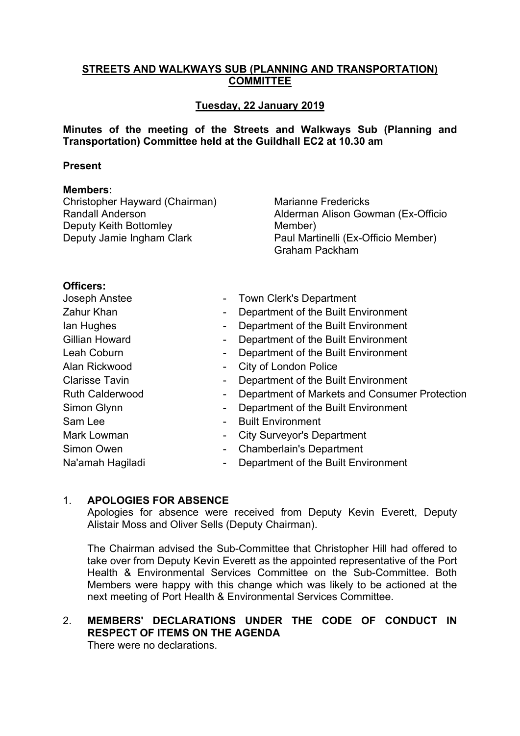### **STREETS AND WALKWAYS SUB (PLANNING AND TRANSPORTATION) COMMITTEE**

## **Tuesday, 22 January 2019**

**Minutes of the meeting of the Streets and Walkways Sub (Planning and Transportation) Committee held at the Guildhall EC2 at 10.30 am**

#### **Present**

#### **Members:**

Christopher Hayward (Chairman) Randall Anderson Deputy Keith Bottomley Deputy Jamie Ingham Clark

Marianne Fredericks Alderman Alison Gowman (Ex-Officio Member) Paul Martinelli (Ex-Officio Member) Graham Packham

#### **Officers:**

|                          | <b>Town Clerk's Department</b>                |
|--------------------------|-----------------------------------------------|
| $\blacksquare$           | Department of the Built Environment           |
| $\blacksquare$           | Department of the Built Environment           |
| -                        | Department of the Built Environment           |
| $\blacksquare$           | Department of the Built Environment           |
|                          | <b>City of London Police</b>                  |
| -                        | Department of the Built Environment           |
| $\overline{\phantom{a}}$ | Department of Markets and Consumer Protection |
| $\blacksquare$           | Department of the Built Environment           |
|                          | <b>Built Environment</b>                      |
| ٠                        | <b>City Surveyor's Department</b>             |
| $\blacksquare$           | <b>Chamberlain's Department</b>               |
| $\overline{\phantom{a}}$ | Department of the Built Environment           |
|                          |                                               |

### 1. **APOLOGIES FOR ABSENCE**

Apologies for absence were received from Deputy Kevin Everett, Deputy Alistair Moss and Oliver Sells (Deputy Chairman).

The Chairman advised the Sub-Committee that Christopher Hill had offered to take over from Deputy Kevin Everett as the appointed representative of the Port Health & Environmental Services Committee on the Sub-Committee. Both Members were happy with this change which was likely to be actioned at the next meeting of Port Health & Environmental Services Committee.

# 2. **MEMBERS' DECLARATIONS UNDER THE CODE OF CONDUCT IN RESPECT OF ITEMS ON THE AGENDA**

There were no declarations.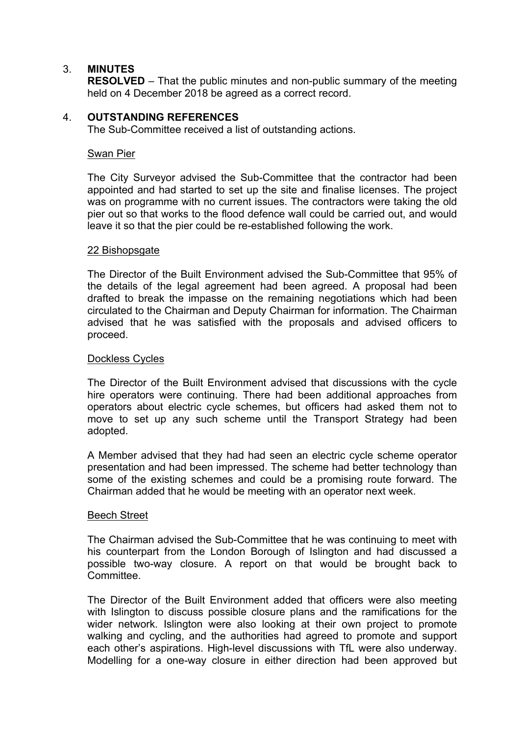### 3. **MINUTES**

**RESOLVED** – That the public minutes and non-public summary of the meeting held on 4 December 2018 be agreed as a correct record.

### 4. **OUTSTANDING REFERENCES**

The Sub-Committee received a list of outstanding actions.

#### Swan Pier

The City Surveyor advised the Sub-Committee that the contractor had been appointed and had started to set up the site and finalise licenses. The project was on programme with no current issues. The contractors were taking the old pier out so that works to the flood defence wall could be carried out, and would leave it so that the pier could be re-established following the work.

#### 22 Bishopsgate

The Director of the Built Environment advised the Sub-Committee that 95% of the details of the legal agreement had been agreed. A proposal had been drafted to break the impasse on the remaining negotiations which had been circulated to the Chairman and Deputy Chairman for information. The Chairman advised that he was satisfied with the proposals and advised officers to proceed.

#### Dockless Cycles

The Director of the Built Environment advised that discussions with the cycle hire operators were continuing. There had been additional approaches from operators about electric cycle schemes, but officers had asked them not to move to set up any such scheme until the Transport Strategy had been adopted.

A Member advised that they had had seen an electric cycle scheme operator presentation and had been impressed. The scheme had better technology than some of the existing schemes and could be a promising route forward. The Chairman added that he would be meeting with an operator next week.

#### Beech Street

The Chairman advised the Sub-Committee that he was continuing to meet with his counterpart from the London Borough of Islington and had discussed a possible two-way closure. A report on that would be brought back to **Committee.** 

The Director of the Built Environment added that officers were also meeting with Islington to discuss possible closure plans and the ramifications for the wider network. Islington were also looking at their own project to promote walking and cycling, and the authorities had agreed to promote and support each other's aspirations. High-level discussions with TfL were also underway. Modelling for a one-way closure in either direction had been approved but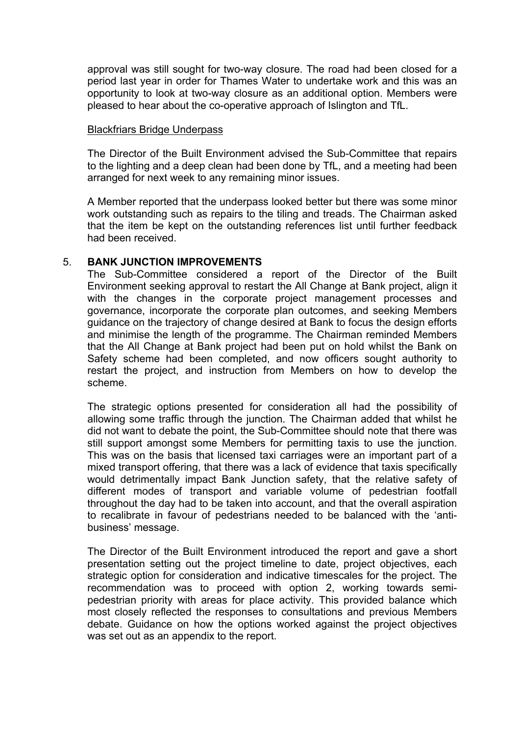approval was still sought for two-way closure. The road had been closed for a period last year in order for Thames Water to undertake work and this was an opportunity to look at two-way closure as an additional option. Members were pleased to hear about the co-operative approach of Islington and TfL.

#### Blackfriars Bridge Underpass

The Director of the Built Environment advised the Sub-Committee that repairs to the lighting and a deep clean had been done by TfL, and a meeting had been arranged for next week to any remaining minor issues.

A Member reported that the underpass looked better but there was some minor work outstanding such as repairs to the tiling and treads. The Chairman asked that the item be kept on the outstanding references list until further feedback had been received.

### 5. **BANK JUNCTION IMPROVEMENTS**

The Sub-Committee considered a report of the Director of the Built Environment seeking approval to restart the All Change at Bank project, align it with the changes in the corporate project management processes and governance, incorporate the corporate plan outcomes, and seeking Members guidance on the trajectory of change desired at Bank to focus the design efforts and minimise the length of the programme. The Chairman reminded Members that the All Change at Bank project had been put on hold whilst the Bank on Safety scheme had been completed, and now officers sought authority to restart the project, and instruction from Members on how to develop the scheme.

The strategic options presented for consideration all had the possibility of allowing some traffic through the junction. The Chairman added that whilst he did not want to debate the point, the Sub-Committee should note that there was still support amongst some Members for permitting taxis to use the junction. This was on the basis that licensed taxi carriages were an important part of a mixed transport offering, that there was a lack of evidence that taxis specifically would detrimentally impact Bank Junction safety, that the relative safety of different modes of transport and variable volume of pedestrian footfall throughout the day had to be taken into account, and that the overall aspiration to recalibrate in favour of pedestrians needed to be balanced with the 'antibusiness' message.

The Director of the Built Environment introduced the report and gave a short presentation setting out the project timeline to date, project objectives, each strategic option for consideration and indicative timescales for the project. The recommendation was to proceed with option 2, working towards semipedestrian priority with areas for place activity. This provided balance which most closely reflected the responses to consultations and previous Members debate. Guidance on how the options worked against the project objectives was set out as an appendix to the report.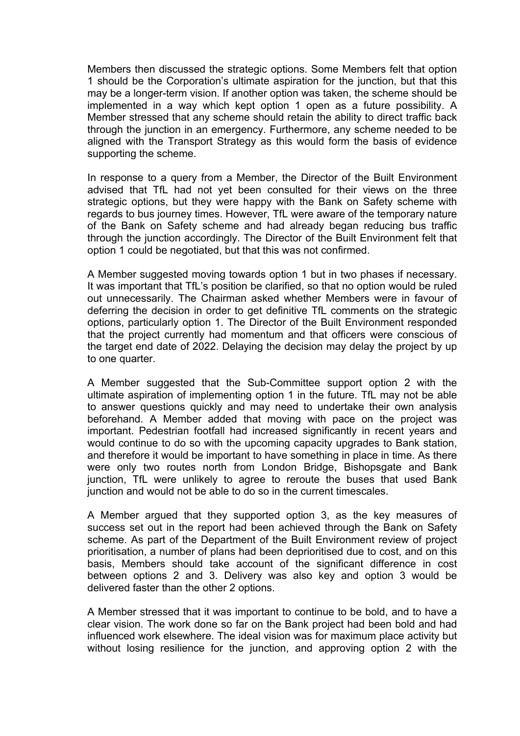Members then discussed the strategic options. Some Members felt that option 1 should be the Corporation's ultimate aspiration for the junction, but that this may be a longer-term vision. If another option was taken, the scheme should be implemented in a way which kept option 1 open as a future possibility. A Member stressed that any scheme should retain the ability to direct traffic back through the junction in an emergency. Furthermore, any scheme needed to be aligned with the Transport Strategy as this would form the basis of evidence supporting the scheme.

In response to a query from a Member, the Director of the Built Environment advised that TfL had not yet been consulted for their views on the three strategic options, but they were happy with the Bank on Safety scheme with regards to bus journey times. However, TfL were aware of the temporary nature of the Bank on Safety scheme and had already began reducing bus traffic through the junction accordingly. The Director of the Built Environment felt that option 1 could be negotiated, but that this was not confirmed.

A Member suggested moving towards option 1 but in two phases if necessary. It was important that TfL's position be clarified, so that no option would be ruled out unnecessarily. The Chairman asked whether Members were in favour of deferring the decision in order to get definitive TfL comments on the strategic options, particularly option 1. The Director of the Built Environment responded that the project currently had momentum and that officers were conscious of the target end date of 2022. Delaying the decision may delay the project by up to one quarter.

A Member suggested that the Sub-Committee support option 2 with the ultimate aspiration of implementing option 1 in the future. TfL may not be able to answer questions quickly and may need to undertake their own analysis beforehand. A Member added that moving with pace on the project was important. Pedestrian footfall had increased significantly in recent years and would continue to do so with the upcoming capacity upgrades to Bank station, and therefore it would be important to have something in place in time. As there were only two routes north from London Bridge, Bishopsgate and Bank junction, TfL were unlikely to agree to reroute the buses that used Bank junction and would not be able to do so in the current timescales.

A Member argued that they supported option 3, as the key measures of success set out in the report had been achieved through the Bank on Safety scheme. As part of the Department of the Built Environment review of project prioritisation, a number of plans had been deprioritised due to cost, and on this basis, Members should take account of the significant difference in cost between options 2 and 3. Delivery was also key and option 3 would be delivered faster than the other 2 options.

A Member stressed that it was important to continue to be bold, and to have a clear vision. The work done so far on the Bank project had been bold and had influenced work elsewhere. The ideal vision was for maximum place activity but without losing resilience for the junction, and approving option 2 with the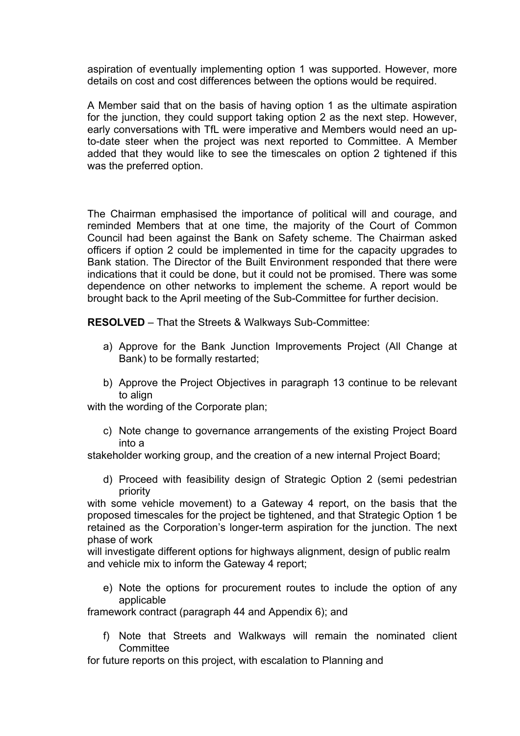aspiration of eventually implementing option 1 was supported. However, more details on cost and cost differences between the options would be required.

A Member said that on the basis of having option 1 as the ultimate aspiration for the junction, they could support taking option 2 as the next step. However, early conversations with TfL were imperative and Members would need an upto-date steer when the project was next reported to Committee. A Member added that they would like to see the timescales on option 2 tightened if this was the preferred option.

The Chairman emphasised the importance of political will and courage, and reminded Members that at one time, the majority of the Court of Common Council had been against the Bank on Safety scheme. The Chairman asked officers if option 2 could be implemented in time for the capacity upgrades to Bank station. The Director of the Built Environment responded that there were indications that it could be done, but it could not be promised. There was some dependence on other networks to implement the scheme. A report would be brought back to the April meeting of the Sub-Committee for further decision.

**RESOLVED** – That the Streets & Walkways Sub-Committee:

- a) Approve for the Bank Junction Improvements Project (All Change at Bank) to be formally restarted;
- b) Approve the Project Objectives in paragraph 13 continue to be relevant to align

with the wording of the Corporate plan:

c) Note change to governance arrangements of the existing Project Board into a

stakeholder working group, and the creation of a new internal Project Board;

d) Proceed with feasibility design of Strategic Option 2 (semi pedestrian priority

with some vehicle movement) to a Gateway 4 report, on the basis that the proposed timescales for the project be tightened, and that Strategic Option 1 be retained as the Corporation's longer-term aspiration for the junction. The next phase of work

will investigate different options for highways alignment, design of public realm and vehicle mix to inform the Gateway 4 report;

e) Note the options for procurement routes to include the option of any applicable

framework contract (paragraph 44 and Appendix 6); and

- f) Note that Streets and Walkways will remain the nominated client **Committee**
- for future reports on this project, with escalation to Planning and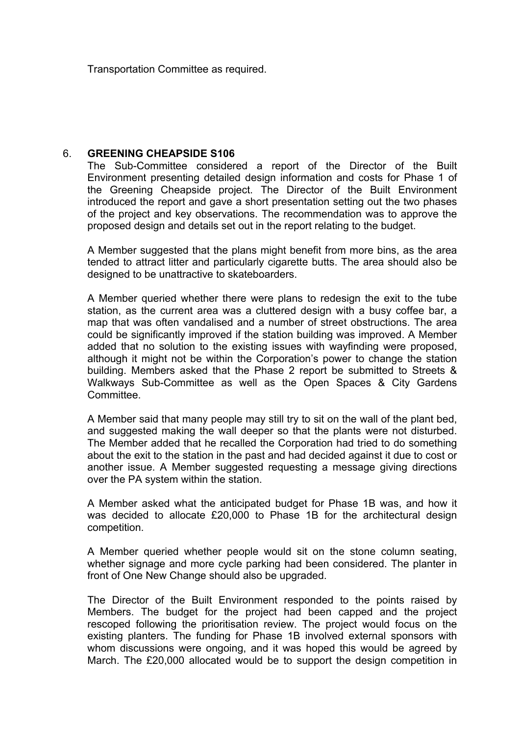Transportation Committee as required.

#### 6. **GREENING CHEAPSIDE S106**

The Sub-Committee considered a report of the Director of the Built Environment presenting detailed design information and costs for Phase 1 of the Greening Cheapside project. The Director of the Built Environment introduced the report and gave a short presentation setting out the two phases of the project and key observations. The recommendation was to approve the proposed design and details set out in the report relating to the budget.

A Member suggested that the plans might benefit from more bins, as the area tended to attract litter and particularly cigarette butts. The area should also be designed to be unattractive to skateboarders.

A Member queried whether there were plans to redesign the exit to the tube station, as the current area was a cluttered design with a busy coffee bar, a map that was often vandalised and a number of street obstructions. The area could be significantly improved if the station building was improved. A Member added that no solution to the existing issues with wayfinding were proposed, although it might not be within the Corporation's power to change the station building. Members asked that the Phase 2 report be submitted to Streets & Walkways Sub-Committee as well as the Open Spaces & City Gardens Committee.

A Member said that many people may still try to sit on the wall of the plant bed, and suggested making the wall deeper so that the plants were not disturbed. The Member added that he recalled the Corporation had tried to do something about the exit to the station in the past and had decided against it due to cost or another issue. A Member suggested requesting a message giving directions over the PA system within the station.

A Member asked what the anticipated budget for Phase 1B was, and how it was decided to allocate £20,000 to Phase 1B for the architectural design competition.

A Member queried whether people would sit on the stone column seating, whether signage and more cycle parking had been considered. The planter in front of One New Change should also be upgraded.

The Director of the Built Environment responded to the points raised by Members. The budget for the project had been capped and the project rescoped following the prioritisation review. The project would focus on the existing planters. The funding for Phase 1B involved external sponsors with whom discussions were ongoing, and it was hoped this would be agreed by March. The £20,000 allocated would be to support the design competition in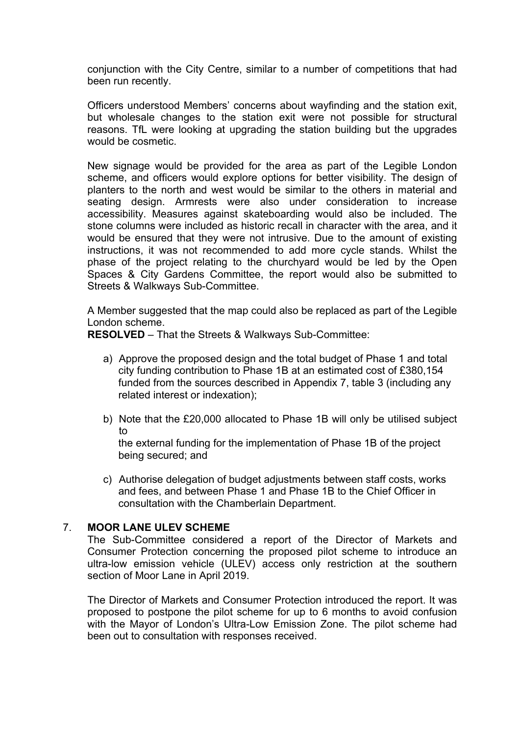conjunction with the City Centre, similar to a number of competitions that had been run recently.

Officers understood Members' concerns about wayfinding and the station exit, but wholesale changes to the station exit were not possible for structural reasons. TfL were looking at upgrading the station building but the upgrades would be cosmetic.

New signage would be provided for the area as part of the Legible London scheme, and officers would explore options for better visibility. The design of planters to the north and west would be similar to the others in material and seating design. Armrests were also under consideration to increase accessibility. Measures against skateboarding would also be included. The stone columns were included as historic recall in character with the area, and it would be ensured that they were not intrusive. Due to the amount of existing instructions, it was not recommended to add more cycle stands. Whilst the phase of the project relating to the churchyard would be led by the Open Spaces & City Gardens Committee, the report would also be submitted to Streets & Walkways Sub-Committee.

A Member suggested that the map could also be replaced as part of the Legible London scheme.

**RESOLVED** – That the Streets & Walkways Sub-Committee:

- a) Approve the proposed design and the total budget of Phase 1 and total city funding contribution to Phase 1B at an estimated cost of £380,154 funded from the sources described in Appendix 7, table 3 (including any related interest or indexation);
- b) Note that the £20,000 allocated to Phase 1B will only be utilised subject to

the external funding for the implementation of Phase 1B of the project being secured; and

c) Authorise delegation of budget adjustments between staff costs, works and fees, and between Phase 1 and Phase 1B to the Chief Officer in consultation with the Chamberlain Department.

### 7. **MOOR LANE ULEV SCHEME**

The Sub-Committee considered a report of the Director of Markets and Consumer Protection concerning the proposed pilot scheme to introduce an ultra-low emission vehicle (ULEV) access only restriction at the southern section of Moor Lane in April 2019.

The Director of Markets and Consumer Protection introduced the report. It was proposed to postpone the pilot scheme for up to 6 months to avoid confusion with the Mayor of London's Ultra-Low Emission Zone. The pilot scheme had been out to consultation with responses received.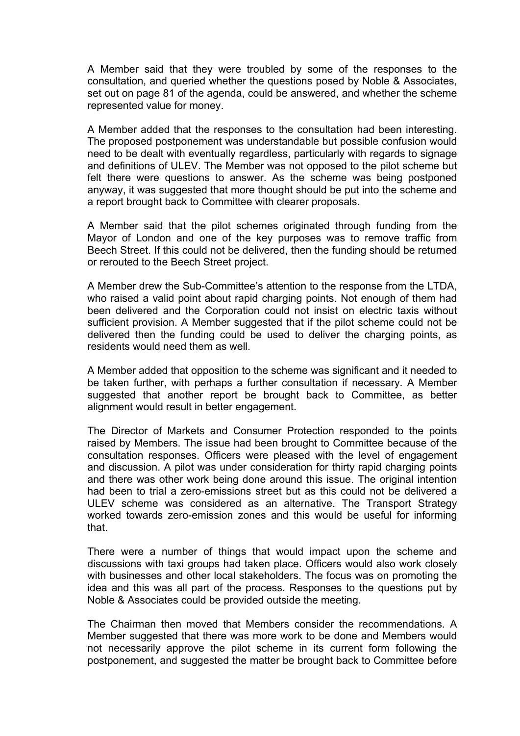A Member said that they were troubled by some of the responses to the consultation, and queried whether the questions posed by Noble & Associates, set out on page 81 of the agenda, could be answered, and whether the scheme represented value for money.

A Member added that the responses to the consultation had been interesting. The proposed postponement was understandable but possible confusion would need to be dealt with eventually regardless, particularly with regards to signage and definitions of ULEV. The Member was not opposed to the pilot scheme but felt there were questions to answer. As the scheme was being postponed anyway, it was suggested that more thought should be put into the scheme and a report brought back to Committee with clearer proposals.

A Member said that the pilot schemes originated through funding from the Mayor of London and one of the key purposes was to remove traffic from Beech Street. If this could not be delivered, then the funding should be returned or rerouted to the Beech Street project.

A Member drew the Sub-Committee's attention to the response from the LTDA, who raised a valid point about rapid charging points. Not enough of them had been delivered and the Corporation could not insist on electric taxis without sufficient provision. A Member suggested that if the pilot scheme could not be delivered then the funding could be used to deliver the charging points, as residents would need them as well.

A Member added that opposition to the scheme was significant and it needed to be taken further, with perhaps a further consultation if necessary. A Member suggested that another report be brought back to Committee, as better alignment would result in better engagement.

The Director of Markets and Consumer Protection responded to the points raised by Members. The issue had been brought to Committee because of the consultation responses. Officers were pleased with the level of engagement and discussion. A pilot was under consideration for thirty rapid charging points and there was other work being done around this issue. The original intention had been to trial a zero-emissions street but as this could not be delivered a ULEV scheme was considered as an alternative. The Transport Strategy worked towards zero-emission zones and this would be useful for informing that.

There were a number of things that would impact upon the scheme and discussions with taxi groups had taken place. Officers would also work closely with businesses and other local stakeholders. The focus was on promoting the idea and this was all part of the process. Responses to the questions put by Noble & Associates could be provided outside the meeting.

The Chairman then moved that Members consider the recommendations. A Member suggested that there was more work to be done and Members would not necessarily approve the pilot scheme in its current form following the postponement, and suggested the matter be brought back to Committee before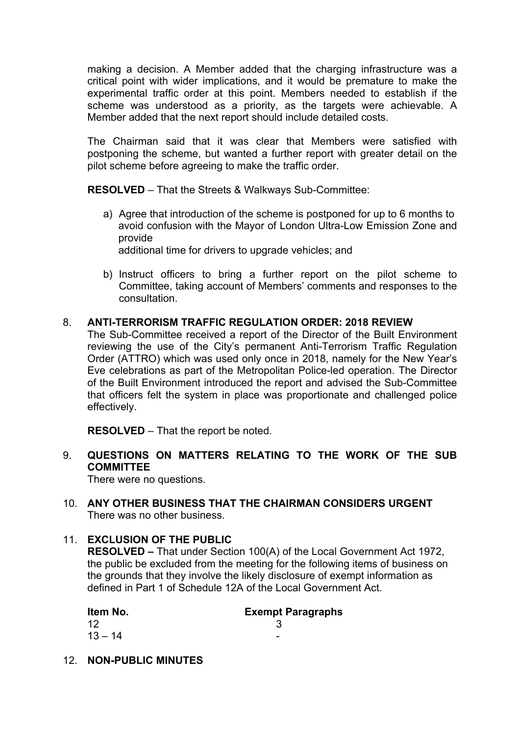making a decision. A Member added that the charging infrastructure was a critical point with wider implications, and it would be premature to make the experimental traffic order at this point. Members needed to establish if the scheme was understood as a priority, as the targets were achievable. A Member added that the next report should include detailed costs.

The Chairman said that it was clear that Members were satisfied with postponing the scheme, but wanted a further report with greater detail on the pilot scheme before agreeing to make the traffic order.

**RESOLVED** – That the Streets & Walkways Sub-Committee:

- a) Agree that introduction of the scheme is postponed for up to 6 months to avoid confusion with the Mayor of London Ultra-Low Emission Zone and provide additional time for drivers to upgrade vehicles; and
- b) Instruct officers to bring a further report on the pilot scheme to Committee, taking account of Members' comments and responses to the consultation.

# 8. **ANTI-TERRORISM TRAFFIC REGULATION ORDER: 2018 REVIEW**

The Sub-Committee received a report of the Director of the Built Environment reviewing the use of the City's permanent Anti-Terrorism Traffic Regulation Order (ATTRO) which was used only once in 2018, namely for the New Year's Eve celebrations as part of the Metropolitan Police-led operation. The Director of the Built Environment introduced the report and advised the Sub-Committee that officers felt the system in place was proportionate and challenged police effectively.

**RESOLVED** – That the report be noted.

9. **QUESTIONS ON MATTERS RELATING TO THE WORK OF THE SUB COMMITTEE**

There were no questions.

10. **ANY OTHER BUSINESS THAT THE CHAIRMAN CONSIDERS URGENT** There was no other business.

# 11. **EXCLUSION OF THE PUBLIC**

**RESOLVED –** That under Section 100(A) of the Local Government Act 1972, the public be excluded from the meeting for the following items of business on the grounds that they involve the likely disclosure of exempt information as defined in Part 1 of Schedule 12A of the Local Government Act.

| Item No.  | <b>Exempt Paragraphs</b> |
|-----------|--------------------------|
| -12       |                          |
| $13 - 14$ | -                        |

12. **NON-PUBLIC MINUTES**